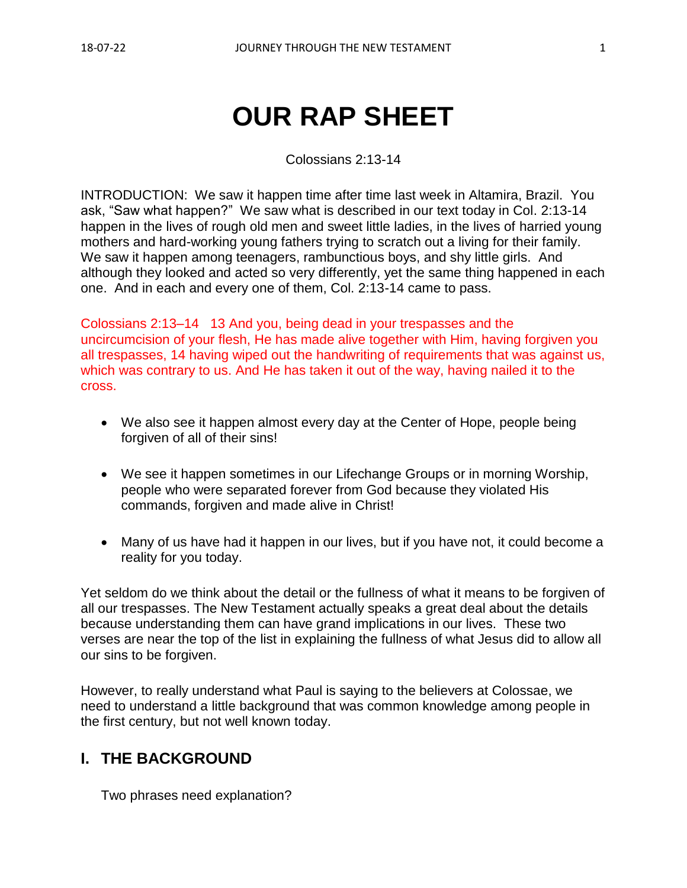# **OUR RAP SHEET**

Colossians 2:13-14

INTRODUCTION: We saw it happen time after time last week in Altamira, Brazil. You ask, "Saw what happen?" We saw what is described in our text today in Col. 2:13-14 happen in the lives of rough old men and sweet little ladies, in the lives of harried young mothers and hard-working young fathers trying to scratch out a living for their family. We saw it happen among teenagers, rambunctious boys, and shy little girls. And although they looked and acted so very differently, yet the same thing happened in each one. And in each and every one of them, Col. 2:13-14 came to pass.

Colossians 2:13–14 13 And you, being dead in your trespasses and the uncircumcision of your flesh, He has made alive together with Him, having forgiven you all trespasses, 14 having wiped out the handwriting of requirements that was against us, which was contrary to us. And He has taken it out of the way, having nailed it to the cross.

- We also see it happen almost every day at the Center of Hope, people being forgiven of all of their sins!
- We see it happen sometimes in our Lifechange Groups or in morning Worship, people who were separated forever from God because they violated His commands, forgiven and made alive in Christ!
- Many of us have had it happen in our lives, but if you have not, it could become a reality for you today.

Yet seldom do we think about the detail or the fullness of what it means to be forgiven of all our trespasses. The New Testament actually speaks a great deal about the details because understanding them can have grand implications in our lives. These two verses are near the top of the list in explaining the fullness of what Jesus did to allow all our sins to be forgiven.

However, to really understand what Paul is saying to the believers at Colossae, we need to understand a little background that was common knowledge among people in the first century, but not well known today.

## **I. THE BACKGROUND**

Two phrases need explanation?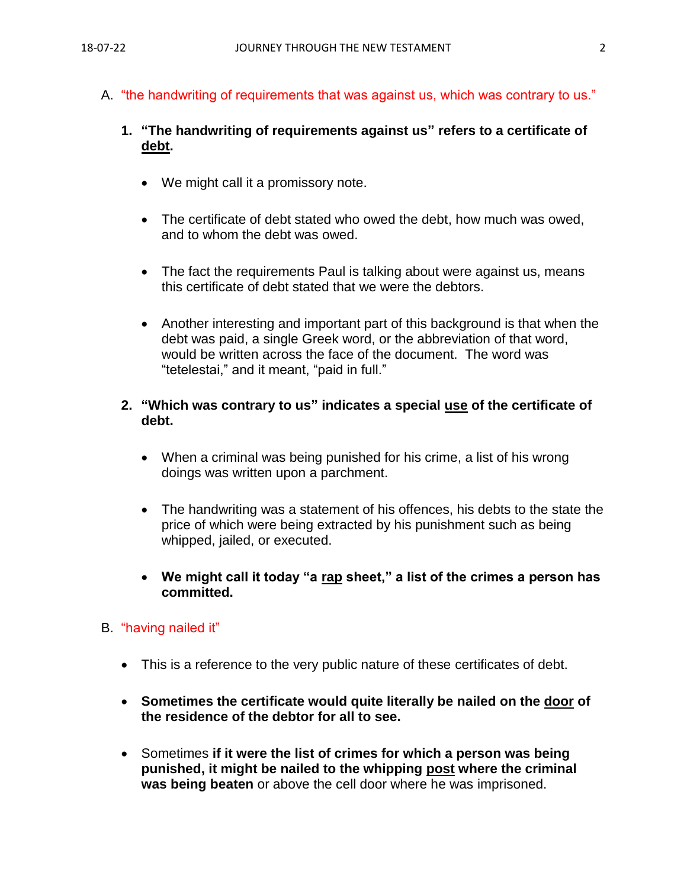A. "the handwriting of requirements that was against us, which was contrary to us."

## **1. "The handwriting of requirements against us" refers to a certificate of debt.**

- We might call it a promissory note.
- The certificate of debt stated who owed the debt, how much was owed, and to whom the debt was owed.
- The fact the requirements Paul is talking about were against us, means this certificate of debt stated that we were the debtors.
- Another interesting and important part of this background is that when the debt was paid, a single Greek word, or the abbreviation of that word, would be written across the face of the document. The word was "tetelestai," and it meant, "paid in full."

#### **2. "Which was contrary to us" indicates a special use of the certificate of debt.**

- When a criminal was being punished for his crime, a list of his wrong doings was written upon a parchment.
- The handwriting was a statement of his offences, his debts to the state the price of which were being extracted by his punishment such as being whipped, jailed, or executed.
- **We might call it today "a rap sheet," a list of the crimes a person has committed.**

## B. "having nailed it"

- This is a reference to the very public nature of these certificates of debt.
- **Sometimes the certificate would quite literally be nailed on the door of the residence of the debtor for all to see.**
- Sometimes **if it were the list of crimes for which a person was being punished, it might be nailed to the whipping post where the criminal was being beaten** or above the cell door where he was imprisoned.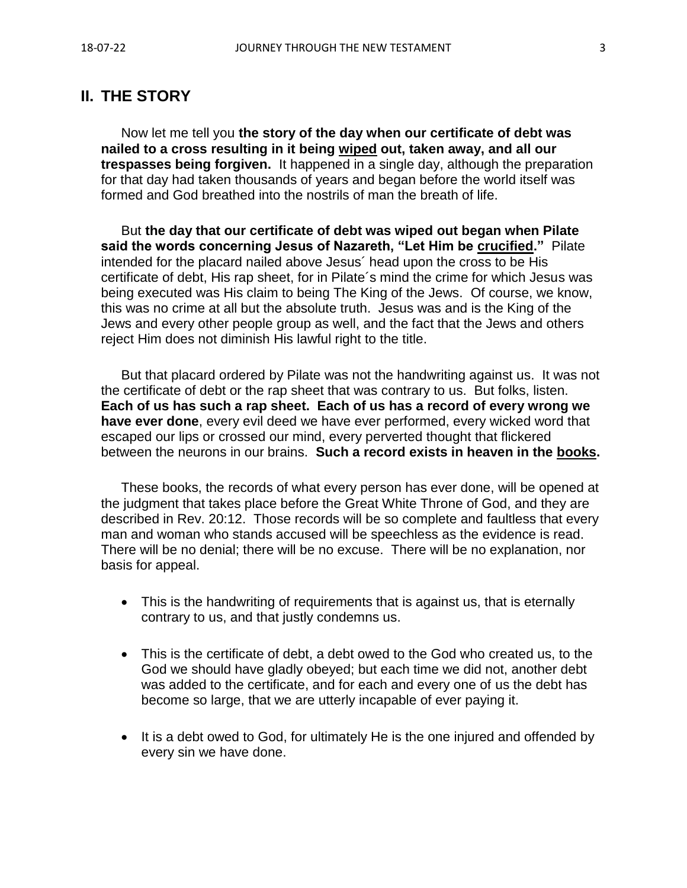## **II. THE STORY**

Now let me tell you **the story of the day when our certificate of debt was nailed to a cross resulting in it being wiped out, taken away, and all our trespasses being forgiven.** It happened in a single day, although the preparation for that day had taken thousands of years and began before the world itself was formed and God breathed into the nostrils of man the breath of life.

But **the day that our certificate of debt was wiped out began when Pilate said the words concerning Jesus of Nazareth, "Let Him be crucified."** Pilate intended for the placard nailed above Jesus´ head upon the cross to be His certificate of debt, His rap sheet, for in Pilate´s mind the crime for which Jesus was being executed was His claim to being The King of the Jews. Of course, we know, this was no crime at all but the absolute truth. Jesus was and is the King of the Jews and every other people group as well, and the fact that the Jews and others reject Him does not diminish His lawful right to the title.

But that placard ordered by Pilate was not the handwriting against us. It was not the certificate of debt or the rap sheet that was contrary to us. But folks, listen. **Each of us has such a rap sheet. Each of us has a record of every wrong we have ever done**, every evil deed we have ever performed, every wicked word that escaped our lips or crossed our mind, every perverted thought that flickered between the neurons in our brains. **Such a record exists in heaven in the books.**

These books, the records of what every person has ever done, will be opened at the judgment that takes place before the Great White Throne of God, and they are described in Rev. 20:12. Those records will be so complete and faultless that every man and woman who stands accused will be speechless as the evidence is read. There will be no denial; there will be no excuse. There will be no explanation, nor basis for appeal.

- This is the handwriting of requirements that is against us, that is eternally contrary to us, and that justly condemns us.
- This is the certificate of debt, a debt owed to the God who created us, to the God we should have gladly obeyed; but each time we did not, another debt was added to the certificate, and for each and every one of us the debt has become so large, that we are utterly incapable of ever paying it.
- It is a debt owed to God, for ultimately He is the one injured and offended by every sin we have done.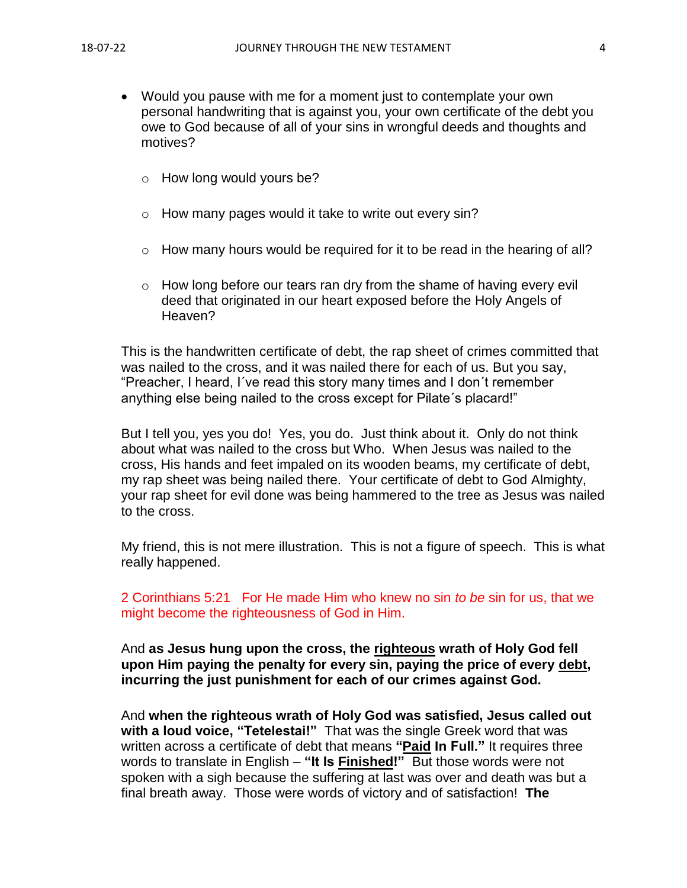- Would you pause with me for a moment just to contemplate your own personal handwriting that is against you, your own certificate of the debt you owe to God because of all of your sins in wrongful deeds and thoughts and motives?
	- o How long would yours be?
	- $\circ$  How many pages would it take to write out every sin?
	- $\circ$  How many hours would be required for it to be read in the hearing of all?
	- o How long before our tears ran dry from the shame of having every evil deed that originated in our heart exposed before the Holy Angels of Heaven?

This is the handwritten certificate of debt, the rap sheet of crimes committed that was nailed to the cross, and it was nailed there for each of us. But you say, "Preacher, I heard, I´ve read this story many times and I don´t remember anything else being nailed to the cross except for Pilate´s placard!"

But I tell you, yes you do! Yes, you do. Just think about it. Only do not think about what was nailed to the cross but Who. When Jesus was nailed to the cross, His hands and feet impaled on its wooden beams, my certificate of debt, my rap sheet was being nailed there. Your certificate of debt to God Almighty, your rap sheet for evil done was being hammered to the tree as Jesus was nailed to the cross.

My friend, this is not mere illustration. This is not a figure of speech. This is what really happened.

2 Corinthians 5:21 For He made Him who knew no sin *to be* sin for us, that we might become the righteousness of God in Him.

And **as Jesus hung upon the cross, the righteous wrath of Holy God fell upon Him paying the penalty for every sin, paying the price of every debt, incurring the just punishment for each of our crimes against God.**

And **when the righteous wrath of Holy God was satisfied, Jesus called out with a loud voice, "Tetelestai!"** That was the single Greek word that was written across a certificate of debt that means **"Paid In Full."** It requires three words to translate in English – **"It Is Finished!"** But those words were not spoken with a sigh because the suffering at last was over and death was but a final breath away. Those were words of victory and of satisfaction! **The**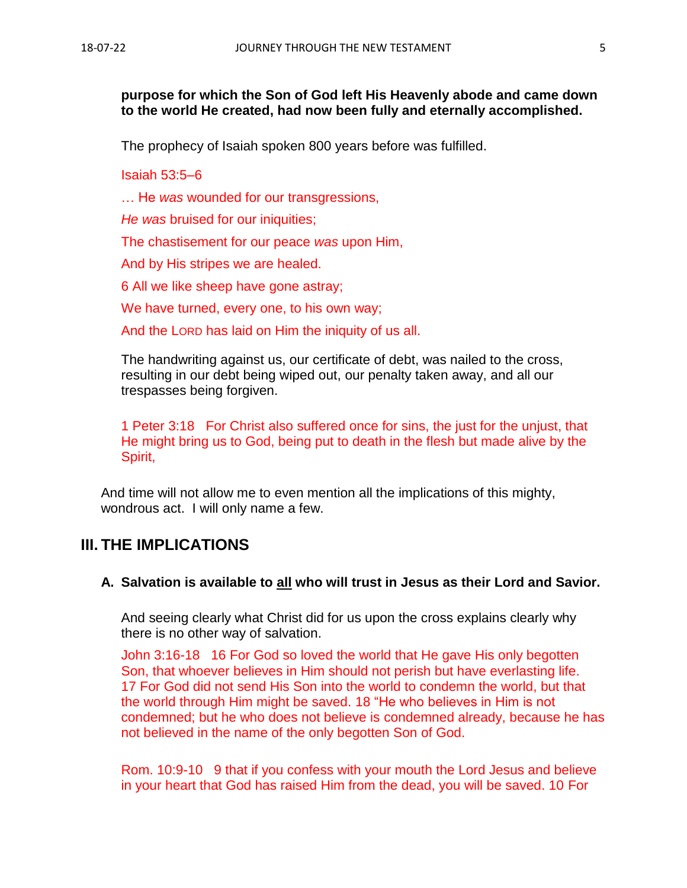#### **purpose for which the Son of God left His Heavenly abode and came down to the world He created, had now been fully and eternally accomplished.**

The prophecy of Isaiah spoken 800 years before was fulfilled.

Isaiah 53:5–6

… He *was* wounded for our transgressions,

*He was* bruised for our iniquities;

The chastisement for our peace *was* upon Him,

And by His stripes we are healed.

6 All we like sheep have gone astray;

We have turned, every one, to his own way;

And the LORD has laid on Him the iniquity of us all.

The handwriting against us, our certificate of debt, was nailed to the cross, resulting in our debt being wiped out, our penalty taken away, and all our trespasses being forgiven.

1 Peter 3:18 For Christ also suffered once for sins, the just for the unjust, that He might bring us to God, being put to death in the flesh but made alive by the Spirit,

And time will not allow me to even mention all the implications of this mighty, wondrous act. I will only name a few.

## **III. THE IMPLICATIONS**

#### **A. Salvation is available to all who will trust in Jesus as their Lord and Savior.**

And seeing clearly what Christ did for us upon the cross explains clearly why there is no other way of salvation.

John 3:16-18 16 For God so loved the world that He gave His only begotten Son, that whoever believes in Him should not perish but have everlasting life. 17 For God did not send His Son into the world to condemn the world, but that the world through Him might be saved. 18 "He who believes in Him is not condemned; but he who does not believe is condemned already, because he has not believed in the name of the only begotten Son of God.

Rom. 10:9-10 9 that if you confess with your mouth the Lord Jesus and believe in your heart that God has raised Him from the dead, you will be saved. 10 For